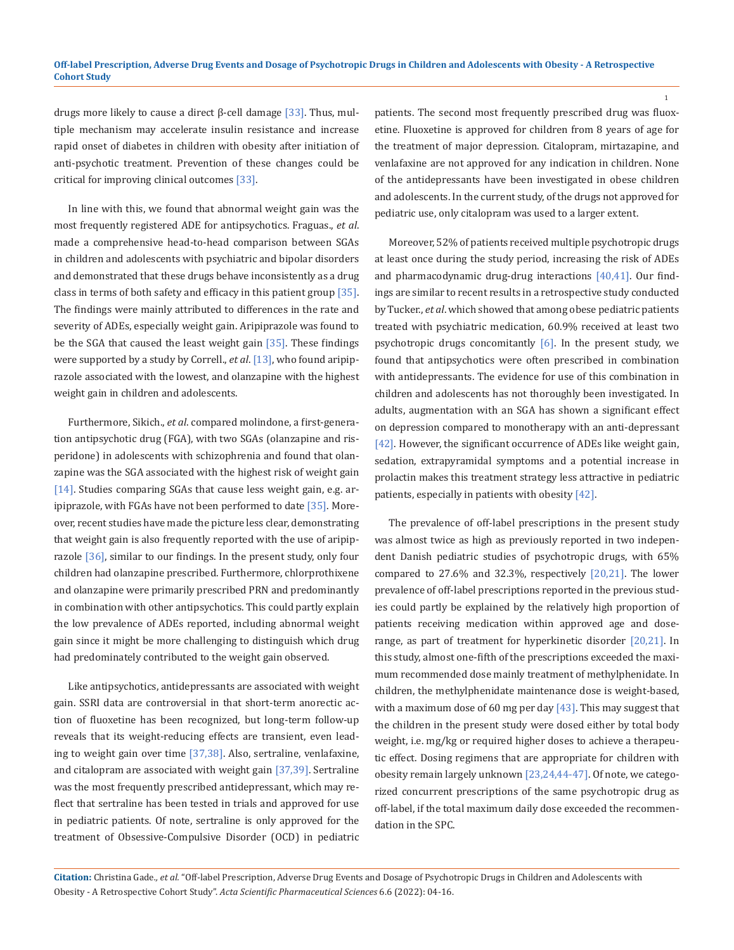drugs more likely to cause a direct β-cell damage [33]. Thus, multiple mechanism may accelerate insulin resistance and increase rapid onset of diabetes in children with obesity after initiation of anti-psychotic treatment. Prevention of these changes could be critical for improving clinical outcomes [33].

In line with this, we found that abnormal weight gain was the most frequently registered ADE for antipsychotics. Fraguas., *et al*. made a comprehensive head-to-head comparison between SGAs in children and adolescents with psychiatric and bipolar disorders and demonstrated that these drugs behave inconsistently as a drug class in terms of both safety and efficacy in this patient group [35]. The findings were mainly attributed to differences in the rate and severity of ADEs, especially weight gain. Aripiprazole was found to be the SGA that caused the least weight gain [35]. These findings were supported by a study by Correll., *et al*. [13], who found aripiprazole associated with the lowest, and olanzapine with the highest weight gain in children and adolescents.

Furthermore, Sikich., *et al*. compared molindone, a first-generation antipsychotic drug (FGA), with two SGAs (olanzapine and risperidone) in adolescents with schizophrenia and found that olanzapine was the SGA associated with the highest risk of weight gain [14]. Studies comparing SGAs that cause less weight gain, e.g. aripiprazole, with FGAs have not been performed to date  $[35]$ . Moreover, recent studies have made the picture less clear, demonstrating that weight gain is also frequently reported with the use of aripiprazole [36], similar to our findings. In the present study, only four children had olanzapine prescribed. Furthermore, chlorprothixene and olanzapine were primarily prescribed PRN and predominantly in combination with other antipsychotics. This could partly explain the low prevalence of ADEs reported, including abnormal weight gain since it might be more challenging to distinguish which drug had predominately contributed to the weight gain observed.

Like antipsychotics, antidepressants are associated with weight gain. SSRI data are controversial in that short-term anorectic action of fluoxetine has been recognized, but long-term follow-up reveals that its weight-reducing effects are transient, even leading to weight gain over time [37,38]. Also, sertraline, venlafaxine, and citalopram are associated with weight gain [37,39]. Sertraline was the most frequently prescribed antidepressant, which may reflect that sertraline has been tested in trials and approved for use in pediatric patients. Of note, sertraline is only approved for the treatment of Obsessive-Compulsive Disorder (OCD) in pediatric

patients. The second most frequently prescribed drug was fluoxetine. Fluoxetine is approved for children from 8 years of age for the treatment of major depression. Citalopram, mirtazapine, and venlafaxine are not approved for any indication in children. None of the antidepressants have been investigated in obese children and adolescents. In the current study, of the drugs not approved for pediatric use, only citalopram was used to a larger extent.

Moreover, 52% of patients received multiple psychotropic drugs at least once during the study period, increasing the risk of ADEs and pharmacodynamic drug-drug interactions [40,41]. Our findings are similar to recent results in a retrospective study conducted by Tucker., *et al*. which showed that among obese pediatric patients treated with psychiatric medication, 60.9% received at least two psychotropic drugs concomitantly [6]. In the present study, we found that antipsychotics were often prescribed in combination with antidepressants. The evidence for use of this combination in children and adolescents has not thoroughly been investigated. In adults, augmentation with an SGA has shown a significant effect on depression compared to monotherapy with an anti-depressant [42]. However, the significant occurrence of ADEs like weight gain, sedation, extrapyramidal symptoms and a potential increase in prolactin makes this treatment strategy less attractive in pediatric patients, especially in patients with obesity [42].

The prevalence of off-label prescriptions in the present study was almost twice as high as previously reported in two independent Danish pediatric studies of psychotropic drugs, with 65% compared to 27.6% and 32.3%, respectively [20,21]. The lower prevalence of off-label prescriptions reported in the previous studies could partly be explained by the relatively high proportion of patients receiving medication within approved age and doserange, as part of treatment for hyperkinetic disorder [20,21]. In this study, almost one-fifth of the prescriptions exceeded the maximum recommended dose mainly treatment of methylphenidate. In children, the methylphenidate maintenance dose is weight-based, with a maximum dose of 60 mg per day  $[43]$ . This may suggest that the children in the present study were dosed either by total body weight, i.e. mg/kg or required higher doses to achieve a therapeutic effect. Dosing regimens that are appropriate for children with obesity remain largely unknown [23,24,44-47]. Of note, we categorized concurrent prescriptions of the same psychotropic drug as off-label, if the total maximum daily dose exceeded the recommendation in the SPC.

**Citation:** Christina Gade*., et al.* "Off-label Prescription, Adverse Drug Events and Dosage of Psychotropic Drugs in Children and Adolescents with Obesity - A Retrospective Cohort Study". *Acta Scientific Pharmaceutical Sciences* 6.6 (2022): 04-16.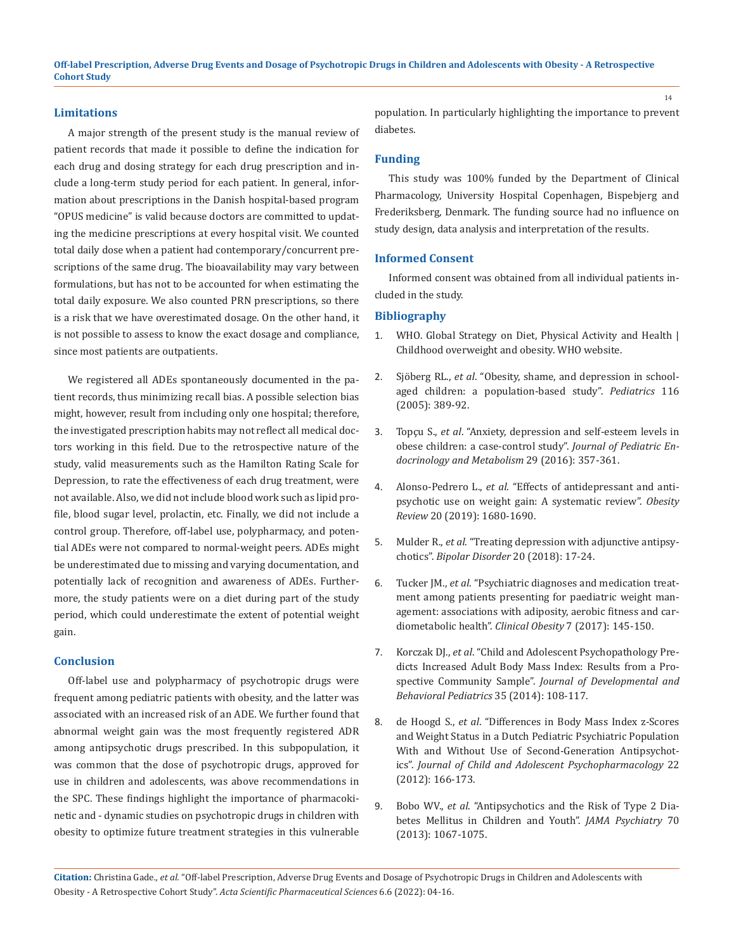**Off-label Prescription, Adverse Drug Events and Dosage of Psychotropic Drugs in Children and Adolescents with Obesity - A Retrospective Cohort Study**

#### **Limitations**

A major strength of the present study is the manual review of patient records that made it possible to define the indication for each drug and dosing strategy for each drug prescription and include a long-term study period for each patient. In general, information about prescriptions in the Danish hospital-based program "OPUS medicine" is valid because doctors are committed to updating the medicine prescriptions at every hospital visit. We counted total daily dose when a patient had contemporary/concurrent prescriptions of the same drug. The bioavailability may vary between formulations, but has not to be accounted for when estimating the total daily exposure. We also counted PRN prescriptions, so there is a risk that we have overestimated dosage. On the other hand, it is not possible to assess to know the exact dosage and compliance, since most patients are outpatients.

We registered all ADEs spontaneously documented in the patient records, thus minimizing recall bias. A possible selection bias might, however, result from including only one hospital; therefore, the investigated prescription habits may not reflect all medical doctors working in this field. Due to the retrospective nature of the study, valid measurements such as the Hamilton Rating Scale for Depression, to rate the effectiveness of each drug treatment, were not available. Also, we did not include blood work such as lipid profile, blood sugar level, prolactin, etc. Finally, we did not include a control group. Therefore, off-label use, polypharmacy, and potential ADEs were not compared to normal-weight peers. ADEs might be underestimated due to missing and varying documentation, and potentially lack of recognition and awareness of ADEs. Furthermore, the study patients were on a diet during part of the study period, which could underestimate the extent of potential weight gain.

# **Conclusion**

Off-label use and polypharmacy of psychotropic drugs were frequent among pediatric patients with obesity, and the latter was associated with an increased risk of an ADE. We further found that abnormal weight gain was the most frequently registered ADR among antipsychotic drugs prescribed. In this subpopulation, it was common that the dose of psychotropic drugs, approved for use in children and adolescents, was above recommendations in the SPC. These findings highlight the importance of pharmacokinetic and - dynamic studies on psychotropic drugs in children with obesity to optimize future treatment strategies in this vulnerable population. In particularly highlighting the importance to prevent diabetes.

### **Funding**

This study was 100% funded by the Department of Clinical Pharmacology, University Hospital Copenhagen, Bispebjerg and Frederiksberg, Denmark. The funding source had no influence on study design, data analysis and interpretation of the results.

#### **Informed Consent**

Informed consent was obtained from all individual patients included in the study.

# **Bibliography**

- 1. [WHO. Global Strategy on Diet, Physical Activity and Health |](http://www.who.int/dietphysicalactivity/childhood/en/) [Childhood overweight and obesity. WHO website.](http://www.who.int/dietphysicalactivity/childhood/en/)
- 2. Sjöberg RL., *et al*[. "Obesity, shame, and depression in school](https://pubmed.ncbi.nlm.nih.gov/16140683/)[aged children: a population-based study".](https://pubmed.ncbi.nlm.nih.gov/16140683/) *Pediatrics* 116 [\(2005\): 389-92.](https://pubmed.ncbi.nlm.nih.gov/16140683/)
- 3. Topçu S., *et al*[. "Anxiety, depression and self-esteem levels in](https://pubmed.ncbi.nlm.nih.gov/26565543/) [obese children: a case-control study".](https://pubmed.ncbi.nlm.nih.gov/26565543/) *Journal of Pediatric En[docrinology and Metabolism](https://pubmed.ncbi.nlm.nih.gov/26565543/)* 29 (2016): 357-361.
- 4. Alonso-Pedrero L., *et al*[. "Effects of antidepressant and anti](https://pubmed.ncbi.nlm.nih.gov/31524318/)[psychotic use on weight gain: A systematic review".](https://pubmed.ncbi.nlm.nih.gov/31524318/) *Obesity Review* [20 \(2019\): 1680-1690.](https://pubmed.ncbi.nlm.nih.gov/31524318/)
- 5. Mulder R., *et al*[. "Treating depression with adjunctive antipsy](https://pubmed.ncbi.nlm.nih.gov/30328223/)chotics". *Bipolar Disorder* [20 \(2018\): 17-24.](https://pubmed.ncbi.nlm.nih.gov/30328223/)
- 6. Tucker JM., *et al*[. "Psychiatric diagnoses and medication treat](https://onlinelibrary.wiley.com/doi/abs/10.1111/cob.12185)[ment among patients presenting for paediatric weight man](https://onlinelibrary.wiley.com/doi/abs/10.1111/cob.12185)[agement: associations with adiposity, aerobic fitness and car](https://onlinelibrary.wiley.com/doi/abs/10.1111/cob.12185)[diometabolic health".](https://onlinelibrary.wiley.com/doi/abs/10.1111/cob.12185) *Clinical Obesity* 7 (2017): 145-150.
- 7. Korczak DJ., *et al*[. "Child and Adolescent Psychopathology Pre](https://pubmed.ncbi.nlm.nih.gov/24343190/)[dicts Increased Adult Body Mass Index: Results from a Pro](https://pubmed.ncbi.nlm.nih.gov/24343190/)spective Community Sample". *[Journal of Developmental and](https://pubmed.ncbi.nlm.nih.gov/24343190/) [Behavioral Pediatrics](https://pubmed.ncbi.nlm.nih.gov/24343190/)* 35 (2014): 108-117.
- 8. de Hoogd S., *et al*[. "Differences in Body Mass Index z-Scores](https://pubmed.ncbi.nlm.nih.gov/22506734/) [and Weight Status in a Dutch Pediatric Psychiatric Population](https://pubmed.ncbi.nlm.nih.gov/22506734/) [With and Without Use of Second-Generation Antipsychot](https://pubmed.ncbi.nlm.nih.gov/22506734/)ics". *[Journal of Child and Adolescent Psychopharmacology](https://pubmed.ncbi.nlm.nih.gov/22506734/)* 22 [\(2012\): 166-173.](https://pubmed.ncbi.nlm.nih.gov/22506734/)
- 9. Bobo WV., *et al*[. "Antipsychotics and the Risk of Type 2 Dia](https://pubmed.ncbi.nlm.nih.gov/23965896/)[betes Mellitus in Children and Youth".](https://pubmed.ncbi.nlm.nih.gov/23965896/) *JAMA Psychiatry* 70 [\(2013\): 1067-1075.](https://pubmed.ncbi.nlm.nih.gov/23965896/)

**Citation:** Christina Gade*., et al.* "Off-label Prescription, Adverse Drug Events and Dosage of Psychotropic Drugs in Children and Adolescents with Obesity - A Retrospective Cohort Study". *Acta Scientific Pharmaceutical Sciences* 6.6 (2022): 04-16.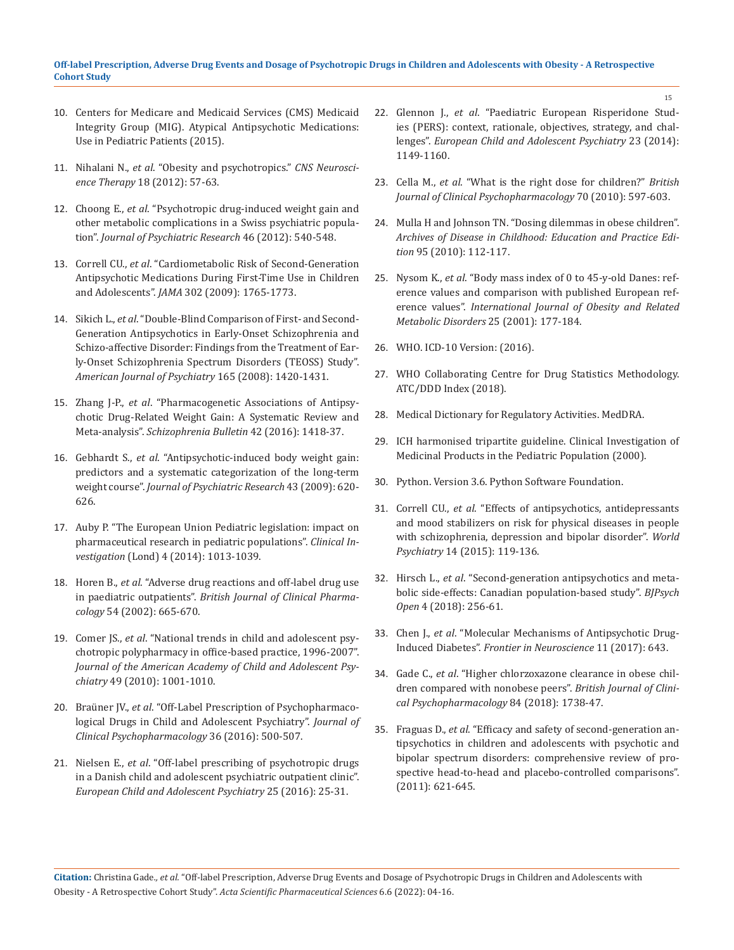# **Off-label Prescription, Adverse Drug Events and Dosage of Psychotropic Drugs in Children and Adolescents with Obesity - A Retrospective Cohort Study**

- 10. [Centers for Medicare and Medicaid Services \(CMS\) Medicaid](https://www.cms.gov/Medicare-Medicaid-Coordination/Fraud-Prevention/Medicaid-Integrity-Education/Pharmacy-Education-Materials/Downloads/atyp-antipsych-pediatric-factsheet11-14.pdf) [Integrity Group \(MIG\). Atypical Antipsychotic Medications:](https://www.cms.gov/Medicare-Medicaid-Coordination/Fraud-Prevention/Medicaid-Integrity-Education/Pharmacy-Education-Materials/Downloads/atyp-antipsych-pediatric-factsheet11-14.pdf) [Use in Pediatric Patients \(2015\).](https://www.cms.gov/Medicare-Medicaid-Coordination/Fraud-Prevention/Medicaid-Integrity-Education/Pharmacy-Education-Materials/Downloads/atyp-antipsych-pediatric-factsheet11-14.pdf)
- 11. Nihalani N., *et al*. "Obesity and psychotropics." *CNS Neuroscience Therapy* 18 (2012): 57-63.
- 12. Choong E., *et al*[. "Psychotropic drug-induced weight gain and](https://pubmed.ncbi.nlm.nih.gov/22316639/) [other metabolic complications in a Swiss psychiatric popula](https://pubmed.ncbi.nlm.nih.gov/22316639/)tion". *[Journal of Psychiatric Research](https://pubmed.ncbi.nlm.nih.gov/22316639/)* 46 (2012): 540-548.
- 13. Correll CU., *et al*[. "Cardiometabolic Risk of Second-Generation](https://pubmed.ncbi.nlm.nih.gov/19861668/) [Antipsychotic Medications During First-Time Use in Children](https://pubmed.ncbi.nlm.nih.gov/19861668/) and Adolescents". *JAMA* [302 \(2009\): 1765-1773.](https://pubmed.ncbi.nlm.nih.gov/19861668/)
- 14. Sikich L., *et al*[. "Double-Blind Comparison of First- and Second-](https://pubmed.ncbi.nlm.nih.gov/18794207/)[Generation Antipsychotics in Early-Onset Schizophrenia and](https://pubmed.ncbi.nlm.nih.gov/18794207/) [Schizo-affective Disorder: Findings from the Treatment of Ear](https://pubmed.ncbi.nlm.nih.gov/18794207/)[ly-Onset Schizophrenia Spectrum Disorders \(TEOSS\) Study".](https://pubmed.ncbi.nlm.nih.gov/18794207/) *[American Journal of Psychiatry](https://pubmed.ncbi.nlm.nih.gov/18794207/)* 165 (2008): 1420-1431.
- 15. Zhang J-P., *et al*[. "Pharmacogenetic Associations of Antipsy](https://pubmed.ncbi.nlm.nih.gov/27217270/)[chotic Drug-Related Weight Gain: A Systematic Review and](https://pubmed.ncbi.nlm.nih.gov/27217270/) Meta-analysis". *[Schizophrenia Bulletin](https://pubmed.ncbi.nlm.nih.gov/27217270/)* 42 (2016): 1418-37.
- 16. Gebhardt S., *et al*[. "Antipsychotic-induced body weight gain:](https://pubmed.ncbi.nlm.nih.gov/19110264/) [predictors and a systematic categorization of the long-term](https://pubmed.ncbi.nlm.nih.gov/19110264/) weight course". *[Journal of Psychiatric Research](https://pubmed.ncbi.nlm.nih.gov/19110264/)* 43 (2009): 620- [626.](https://pubmed.ncbi.nlm.nih.gov/19110264/)
- 17. [Auby P. "The European Union Pediatric legislation: impact on](https://www.openaccessjournals.com/articles/the-european-union-pediatric-legislation-impact-on-pharmaceutical-research-in-pediatric-populations.pdf) [pharmaceutical research in pediatric populations".](https://www.openaccessjournals.com/articles/the-european-union-pediatric-legislation-impact-on-pharmaceutical-research-in-pediatric-populations.pdf) *Clinical Investigation* [\(Lond\) 4 \(2014\): 1013-1039.](https://www.openaccessjournals.com/articles/the-european-union-pediatric-legislation-impact-on-pharmaceutical-research-in-pediatric-populations.pdf)
- 18. Horen B., *et al*[. "Adverse drug reactions and off-label drug use](https://pubmed.ncbi.nlm.nih.gov/12492616/) in paediatric outpatients". *[British Journal of Clinical Pharma](https://pubmed.ncbi.nlm.nih.gov/12492616/)cology* [54 \(2002\): 665-670.](https://pubmed.ncbi.nlm.nih.gov/12492616/)
- 19. Comer JS., *et al*[. "National trends in child and adolescent psy](https://www.ncbi.nlm.nih.gov/pmc/articles/PMC2952543/)[chotropic polypharmacy in office-based practice, 1996-2007".](https://www.ncbi.nlm.nih.gov/pmc/articles/PMC2952543/) *[Journal of the American Academy of Child and Adolescent Psy](https://www.ncbi.nlm.nih.gov/pmc/articles/PMC2952543/)chiatry* [49 \(2010\): 1001-1010.](https://www.ncbi.nlm.nih.gov/pmc/articles/PMC2952543/)
- 20. Braüner JV., *et al*[. "Off-Label Prescription of Psychopharmaco](https://pubmed.ncbi.nlm.nih.gov/27529772/)[logical Drugs in Child and Adolescent Psychiatry".](https://pubmed.ncbi.nlm.nih.gov/27529772/) *Journal of [Clinical Psychopharmacology](https://pubmed.ncbi.nlm.nih.gov/27529772/)* 36 (2016): 500-507.
- 21. Nielsen E., *et al*[. "Off-label prescribing of psychotropic drugs](https://pubmed.ncbi.nlm.nih.gov/25724547/) [in a Danish child and adolescent psychiatric outpatient clinic".](https://pubmed.ncbi.nlm.nih.gov/25724547/) *[European Child and Adolescent Psychiatry](https://pubmed.ncbi.nlm.nih.gov/25724547/)* 25 (2016): 25-31.
- 22. Glennon J., *et al*[. "Paediatric European Risperidone Stud](https://www.ncbi.nlm.nih.gov/pmc/articles/PMC4246122/)[ies \(PERS\): context, rationale, objectives, strategy, and chal](https://www.ncbi.nlm.nih.gov/pmc/articles/PMC4246122/)lenges". *[European Child and Adolescent Psychiatry](https://www.ncbi.nlm.nih.gov/pmc/articles/PMC4246122/)* 23 (2014): [1149-1160.](https://www.ncbi.nlm.nih.gov/pmc/articles/PMC4246122/)
- 23. Cella M., *et al*. "What is the right dose for children?" *British Journal of Clinical Psychopharmacology* 70 (2010): 597-603.
- 24. [Mulla H and Johnson TN. "Dosing dilemmas in obese children".](https://pubmed.ncbi.nlm.nih.gov/20585055/) *[Archives of Disease in Childhood: Education and Practice Edi](https://pubmed.ncbi.nlm.nih.gov/20585055/)tion* [95 \(2010\): 112-117.](https://pubmed.ncbi.nlm.nih.gov/20585055/)
- 25. Nysom K., *et al*[. "Body mass index of 0 to 45-y-old Danes: ref](https://www.nature.com/articles/0801515)[erence values and comparison with published European ref](https://www.nature.com/articles/0801515)erence values". *[International Journal of Obesity and Related](https://www.nature.com/articles/0801515) [Metabolic Disorders](https://www.nature.com/articles/0801515)* 25 (2001): 177-184.
- 26. [WHO. ICD-10 Version: \(2016\).](https://icd.who.int/browse10/2016/en)
- 27. [WHO Collaborating Centre for Drug Statistics Methodology.](https://www.whocc.no/atc_ddd_index/) [ATC/DDD Index \(2018\).](https://www.whocc.no/atc_ddd_index/)
- 28. [Medical Dictionary for Regulatory Activities. MedDRA.](https://www.meddra.org/)
- 29. [ICH harmonised tripartite guideline. Clinical Investigation of](http://www.ich.org/products/guidelines/efficacy/efficacy-single/article/clinical-investigation-of-medicinal-products-in-the-pediatric-population.html) [Medicinal Products in the Pediatric Population \(2000\).](http://www.ich.org/products/guidelines/efficacy/efficacy-single/article/clinical-investigation-of-medicinal-products-in-the-pediatric-population.html)
- 30. [Python. Version 3.6. Python Software Foundation.](https://www.python.org/)
- 31. Correll CU., *et al*[. "Effects of antipsychotics, antidepressants](https://www.ncbi.nlm.nih.gov/pmc/articles/PMC4471960/) [and mood stabilizers on risk for physical diseases in people](https://www.ncbi.nlm.nih.gov/pmc/articles/PMC4471960/) [with schizophrenia, depression and bipolar disorder".](https://www.ncbi.nlm.nih.gov/pmc/articles/PMC4471960/) *World Psychiatry* [14 \(2015\): 119-136.](https://www.ncbi.nlm.nih.gov/pmc/articles/PMC4471960/)
- 32. Hirsch L., *et al*[. "Second-generation antipsychotics and meta](https://www.ncbi.nlm.nih.gov/pmc/articles/PMC6060488/)[bolic side-effects: Canadian population-based study".](https://www.ncbi.nlm.nih.gov/pmc/articles/PMC6060488/) *BJPsych Open* [4 \(2018\): 256-61.](https://www.ncbi.nlm.nih.gov/pmc/articles/PMC6060488/)
- 33. Chen J., *et al*[. "Molecular Mechanisms of Antipsychotic Drug-](https://www.ncbi.nlm.nih.gov/pmc/articles/PMC5702456/)Induced Diabetes". *[Frontier in Neuroscience](https://www.ncbi.nlm.nih.gov/pmc/articles/PMC5702456/)* 11 (2017): 643.
- 34. Gade C., *et al*[. "Higher chlorzoxazone clearance in obese chil](https://pubmed.ncbi.nlm.nih.gov/29618168/)[dren compared with nonobese peers".](https://pubmed.ncbi.nlm.nih.gov/29618168/) *British Journal of Clini[cal Psychopharmacology](https://pubmed.ncbi.nlm.nih.gov/29618168/)* 84 (2018): 1738-47.
- 35. Fraguas D., *et al*[. "Efficacy and safety of second-generation an](https://pubmed.ncbi.nlm.nih.gov/20702068/)[tipsychotics in children and adolescents with psychotic and](https://pubmed.ncbi.nlm.nih.gov/20702068/) [bipolar spectrum disorders: comprehensive review of pro](https://pubmed.ncbi.nlm.nih.gov/20702068/)[spective head-to-head and placebo-controlled comparisons".](https://pubmed.ncbi.nlm.nih.gov/20702068/) [\(2011\): 621-645.](https://pubmed.ncbi.nlm.nih.gov/20702068/)